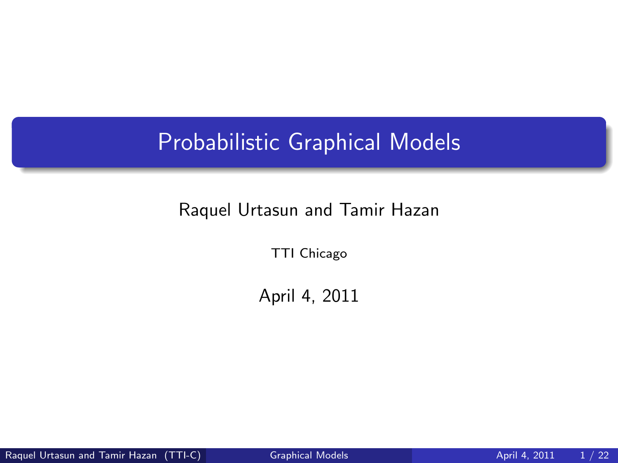# Probabilistic Graphical Models

#### Raquel Urtasun and Tamir Hazan

TTI Chicago

<span id="page-0-0"></span>April 4, 2011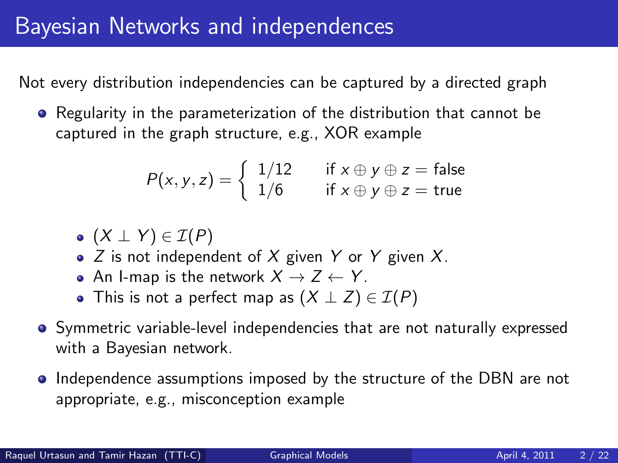# Bayesian Networks and independences

Not every distribution independencies can be captured by a directed graph

• Regularity in the parameterization of the distribution that cannot be captured in the graph structure, e.g., XOR example

$$
P(x, y, z) = \begin{cases} 1/12 & \text{if } x \oplus y \oplus z = \text{false} \\ 1/6 & \text{if } x \oplus y \oplus z = \text{true} \end{cases}
$$

 $(X \perp Y) \in \mathcal{I}(P)$ 

- $\bullet$  Z is not independent of X given Y or Y given X.
- An I-map is the network  $X \rightarrow Z \leftarrow Y$ .
- This is not a perfect map as  $(X \perp Z) \in \mathcal{I}(P)$
- Symmetric variable-level independencies that are not naturally expressed with a Bayesian network.
- Independence assumptions imposed by the structure of the DBN are not appropriate, e.g., misconception example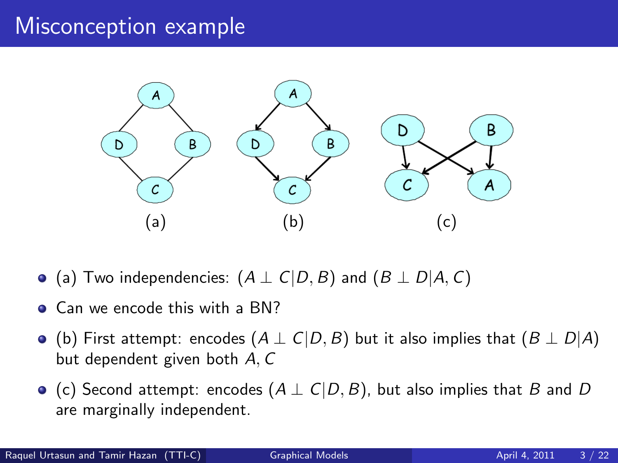## Misconception example



- $\bullet$  (a) Two independencies:  $(A \perp C|D, B)$  and  $(B \perp D|A, C)$
- Can we encode this with a BN?
- (b) First attempt: encodes  $(A \perp C | D, B)$  but it also implies that  $(B \perp D | A)$ but dependent given both A, C
- (c) Second attempt: encodes  $(A \perp C|D, B)$ , but also implies that B and D are marginally independent.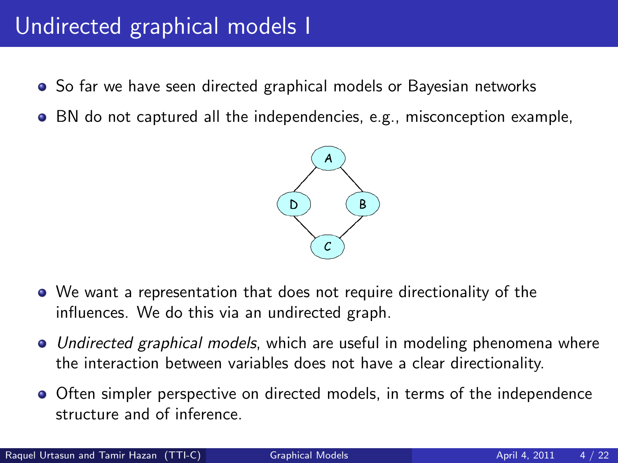# Undirected graphical models I

- So far we have seen directed graphical models or Bayesian networks
- BN do not captured all the independencies, e.g., misconception example,



- We want a representation that does not require directionality of the influences. We do this via an undirected graph.
- Undirected graphical models, which are useful in modeling phenomena where the interaction between variables does not have a clear directionality.
- Often simpler perspective on directed models, in terms of the independence structure and of inference.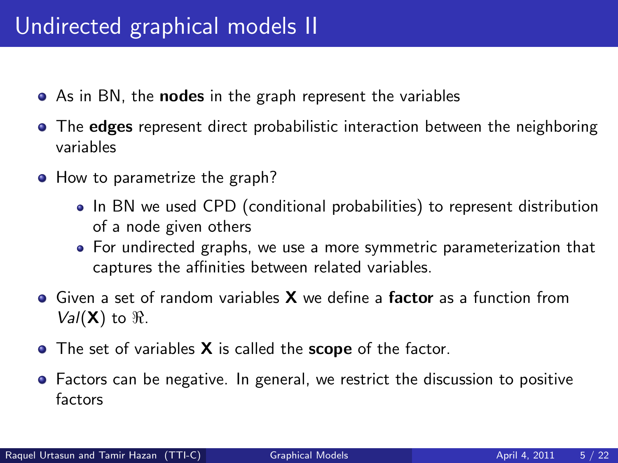# Undirected graphical models II

- As in BN, the **nodes** in the graph represent the variables
- The edges represent direct probabilistic interaction between the neighboring variables
- How to parametrize the graph?
	- In BN we used CPD (conditional probabilities) to represent distribution of a node given others
	- For undirected graphs, we use a more symmetric parameterization that captures the affinities between related variables.
- $\bullet$  Given a set of random variables **X** we define a **factor** as a function from  $Val(X)$  to  $\Re$ .
- The set of variables X is called the scope of the factor.
- Factors can be negative. In general, we restrict the discussion to positive factors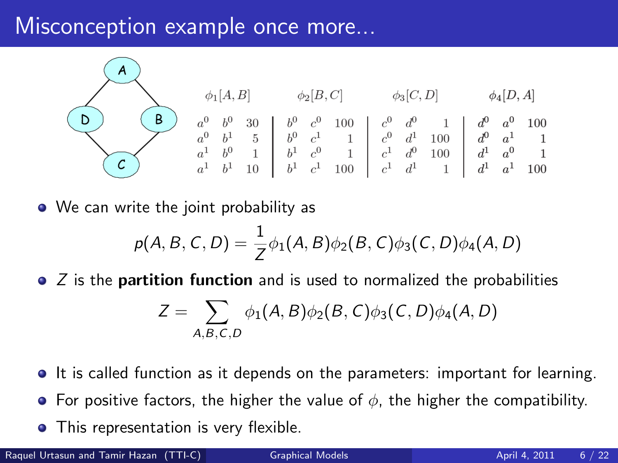## Misconception example once more...



• We can write the joint probability as

$$
p(A, B, C, D) = \frac{1}{Z} \phi_1(A, B) \phi_2(B, C) \phi_3(C, D) \phi_4(A, D)
$$

 $\bullet$  Z is the **partition function** and is used to normalized the probabilities

$$
Z = \sum_{A,B,C,D} \phi_1(A,B)\phi_2(B,C)\phi_3(C,D)\phi_4(A,D)
$$

- It is called function as it depends on the parameters: important for learning.
- **•** For positive factors, the higher the value of  $\phi$ , the higher the compatibility.
- **•** This representation is very flexible.

Raquel Urtasun and Tamir Hazan (TTI-C) [Graphical Models](#page-0-0) **April 4, 2011** 6 / 22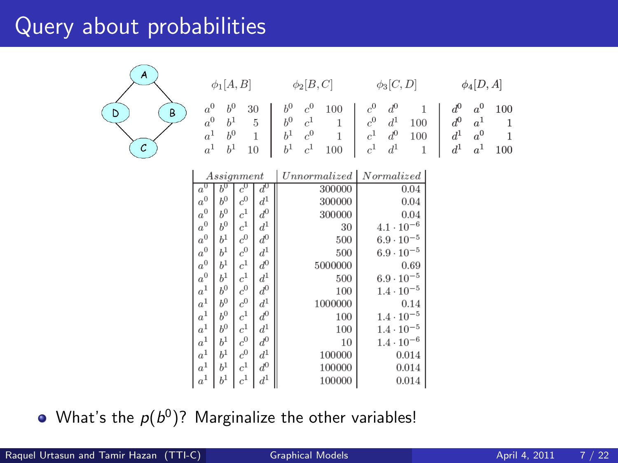## Query about probabilities

 $\mathcal{C}$ 

 $\overline{D}$ 



|                    |                | Assignment         |                      | Unnormalized   Normalized |                     |
|--------------------|----------------|--------------------|----------------------|---------------------------|---------------------|
| $a^0$              | $h^0$          | $c^0$              | $\bar{d}^0$          | 300000                    | 0.04                |
| $\boldsymbol{a}^0$ | h <sup>0</sup> | $\boldsymbol{c}^0$ | $d^1\,$              | 300000                    | 0.04                |
| $\boldsymbol{a}^0$ | $b^0$          | $\boldsymbol{c}^1$ | $\boldsymbol{d}^0$   | 300000                    | 0.04                |
| $\boldsymbol{a}^0$ | $b^0$          | $\boldsymbol{c}^1$ | $\bar{d}^1$          | 30                        | $4.1 \cdot 10^{-6}$ |
| $a^0\,$            | b <sup>1</sup> | $\boldsymbol{c}^0$ | $\boldsymbol{d}^0$   | 500                       | $6.9 \cdot 10^{-5}$ |
| $\boldsymbol{a}^0$ | $b^1$          | $\boldsymbol{c}^0$ | $\boldsymbol{d}^{1}$ | 500                       | $6.9 \cdot 10^{-5}$ |
| $\boldsymbol{a}^0$ | b <sup>1</sup> | $\boldsymbol{c}^1$ | $d^0\,$              | 5000000                   | 0.69                |
| $\boldsymbol{a}^0$ | h <sup>1</sup> | $\boldsymbol{c}^1$ | $\boldsymbol{d}^1$   | 500                       | $6.9 \cdot 10^{-5}$ |
| $\boldsymbol{a}^1$ | $b^0$          | $\boldsymbol{c}^0$ | $\boldsymbol{d}^0$   | 100                       | $1.4 \cdot 10^{-5}$ |
| $a^1\,$            | b <sup>0</sup> | $\boldsymbol{c}^0$ | $d^1\,$              | 1000000                   | 0.14                |
| $\boldsymbol{a}^1$ | $h^0$          | $\boldsymbol{c}^1$ | $\boldsymbol{d}^0$   | 100                       | $1.4 \cdot 10^{-5}$ |
| $a^1$              | b <sup>0</sup> | $\boldsymbol{c}^1$ | $d^1\,$              | 100                       | $1.4 \cdot 10^{-5}$ |
| $a^1\,$            | $b^1$          | $\boldsymbol{c}^0$ | $\boldsymbol{d}^0$   | 10                        | $1.4 \cdot 10^{-6}$ |
| $a^1\,$            | $b^1$          | $\boldsymbol{c}^0$ | $\boldsymbol{d}^1$   | 100000                    | 0.014               |
| $a^1\,$            | h <sup>1</sup> | $\boldsymbol{c}^1$ | $d^0\,$              | 100000                    | 0.014               |
| $\boldsymbol{a}^1$ | h <sup>1</sup> | $\boldsymbol{c}^1$ | $\boldsymbol{d}^1$   | 100000                    | 0.014               |

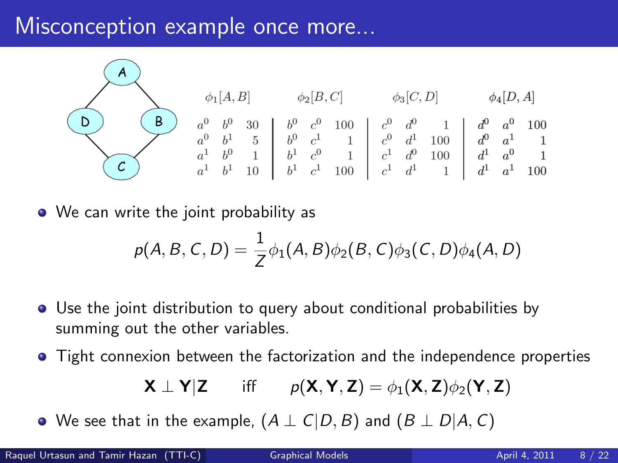### Misconception example once more...



• We can write the joint probability as

$$
p(A, B, C, D) = \frac{1}{Z} \phi_1(A, B) \phi_2(B, C) \phi_3(C, D) \phi_4(A, D)
$$

- Use the joint distribution to query about conditional probabilities by summing out the other variables.
- Tight connexion between the factorization and the independence properties

$$
\mathbf{X} \perp \mathbf{Y} | \mathbf{Z} \qquad \text{iff} \qquad p(\mathbf{X}, \mathbf{Y}, \mathbf{Z}) = \phi_1(\mathbf{X}, \mathbf{Z}) \phi_2(\mathbf{Y}, \mathbf{Z})
$$

• We see that in the example,  $(A \perp C | D, B)$  and  $(B \perp D | A, C)$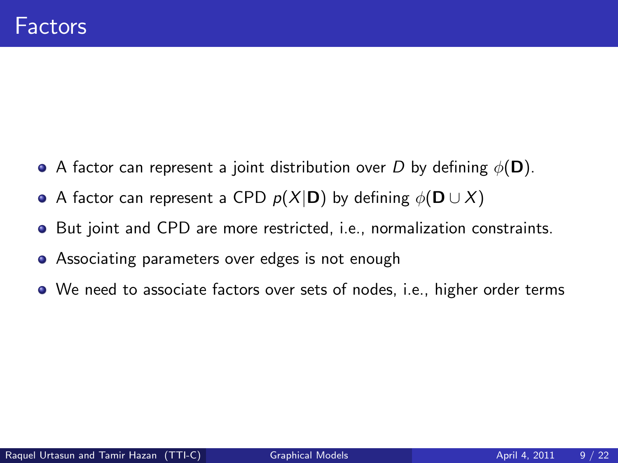- A factor can represent a joint distribution over D by defining  $\phi(\mathbf{D})$ .
- A factor can represent a CPD  $p(X|\mathbf{D})$  by defining  $\phi(\mathbf{D} \cup X)$
- **•** But joint and CPD are more restricted, i.e., normalization constraints.
- **•** Associating parameters over edges is not enough
- We need to associate factors over sets of nodes, i.e., higher order terms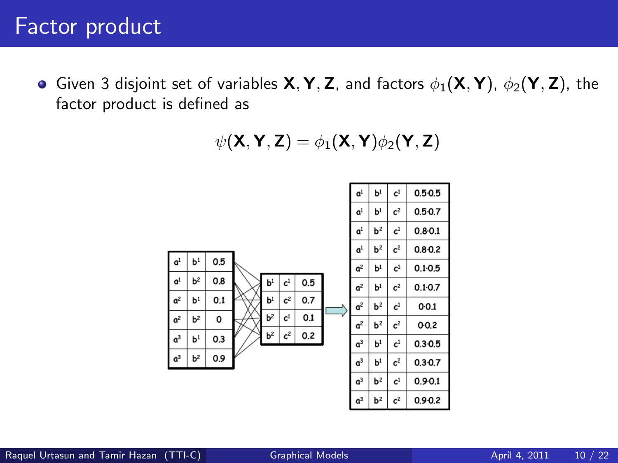Given 3 disjoint set of variables  $X, Y, Z$ , and factors  $\phi_1(X, Y)$ ,  $\phi_2(Y, Z)$ , the factor product is defined as

$$
\psi(\mathsf{X},\mathsf{Y},\mathsf{Z})=\phi_1(\mathsf{X},\mathsf{Y})\phi_2(\mathsf{Y},\mathsf{Z})
$$

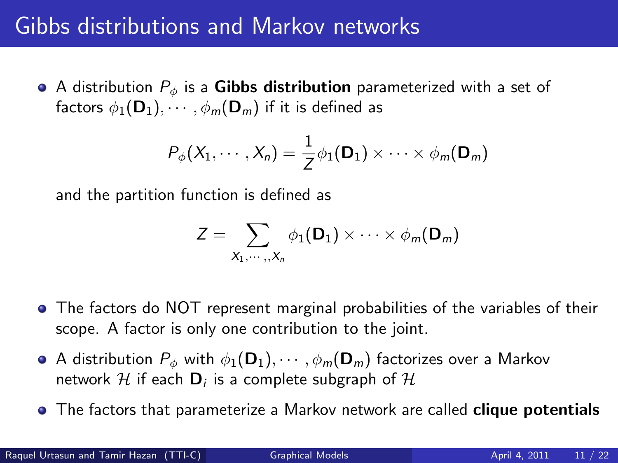## Gibbs distributions and Markov networks

• A distribution  $P_{\phi}$  is a Gibbs distribution parameterized with a set of factors  $\phi_1(\mathbf{D}_1), \cdots, \phi_m(\mathbf{D}_m)$  if it is defined as

$$
P_{\phi}(X_1,\cdots,X_n)=\frac{1}{Z}\phi_1(\mathbf{D}_1)\times\cdots\times\phi_m(\mathbf{D}_m)
$$

and the partition function is defined as

$$
Z = \sum_{X_1,\dots,X_n} \phi_1(\mathbf{D}_1) \times \dots \times \phi_m(\mathbf{D}_m)
$$

- The factors do NOT represent marginal probabilities of the variables of their scope. A factor is only one contribution to the joint.
- **•** A distribution  $P_{\phi}$  with  $\phi_1(\mathbf{D}_1), \cdots, \phi_m(\mathbf{D}_m)$  factorizes over a Markov network  ${\mathcal H}$  if each  ${\mathsf D}_i$  is a complete subgraph of  ${\mathcal H}$
- **•** The factors that parameterize a Markov network are called clique potentials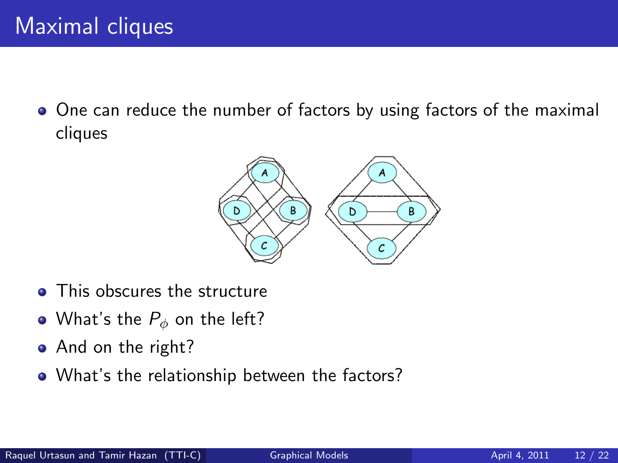One can reduce the number of factors by using factors of the maximal cliques



- This obscures the structure
- What's the  $P_{\phi}$  on the left?
- And on the right?
- What's the relationship between the factors?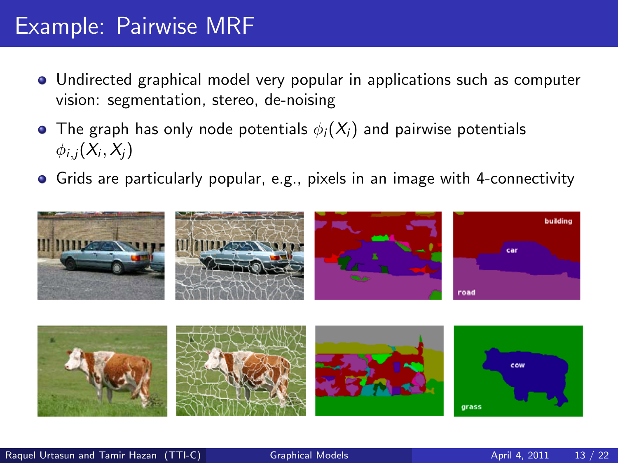## Example: Pairwise MRF

- Undirected graphical model very popular in applications such as computer vision: segmentation, stereo, de-noising
- The graph has only node potentials  $\phi_i(X_i)$  and pairwise potentials  $\phi_{i,j}(X_i,X_j)$
- Grids are particularly popular, e.g., pixels in an image with 4-connectivity



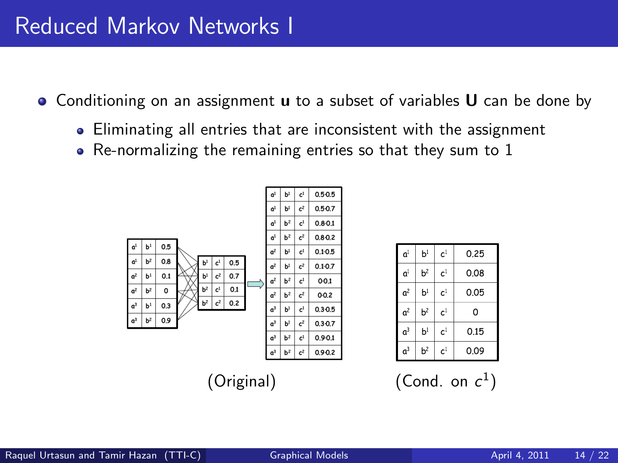- $\bullet$  Conditioning on an assignment **u** to a subset of variables **U** can be done by
	- Eliminating all entries that are inconsistent with the assignment
	- Re-normalizing the remaining entries so that they sum to 1



| a <sup>1</sup>   | b <sup>1</sup> | c <sup>1</sup> | 0.25 |
|------------------|----------------|----------------|------|
| a <sup>1</sup>   | $b^2$          | c <sup>1</sup> | 0.08 |
| $\mathfrak{a}^2$ | b <sup>1</sup> | c <sup>1</sup> | 0.05 |
| a <sup>2</sup>   | b <sup>2</sup> | c <sup>1</sup> | 0    |
| $\mathfrak{a}^3$ | b <sup>1</sup> | c <sup>1</sup> | 0.15 |
| $\mathfrak{a}^3$ | b <sup>2</sup> | c <sup>1</sup> | 0.09 |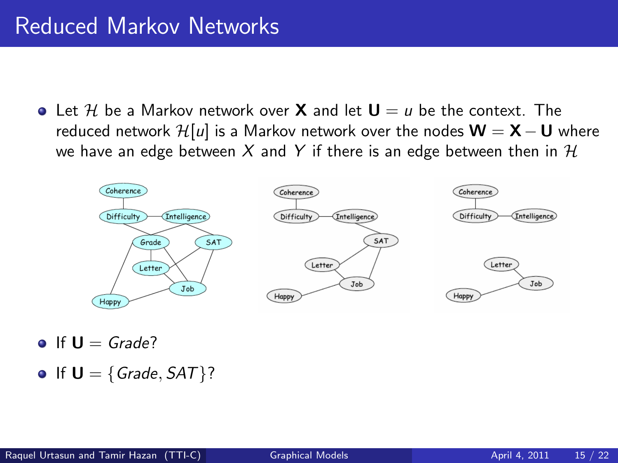$\bullet$  Let H be a Markov network over **X** and let  $U = u$  be the context. The reduced network  $\mathcal{H}[u]$  is a Markov network over the nodes  $\mathbf{W} = \mathbf{X} - \mathbf{U}$  where we have an edge between X and Y if there is an edge between then in  $H$ 



- $\bullet$  If  $U =$  Grade?
- If  $U = \{Grade, SAT\}$ ?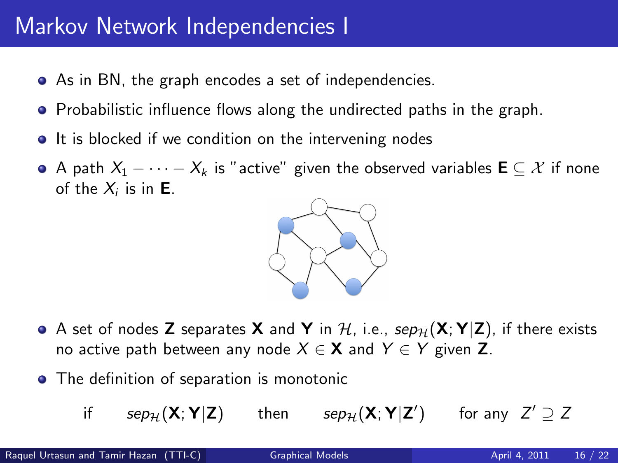# Markov Network Independencies I

- As in BN, the graph encodes a set of independencies.
- Probabilistic influence flows along the undirected paths in the graph.
- It is blocked if we condition on the intervening nodes
- A path  $X_1 \cdots X_k$  is "active" given the observed variables  $\mathbf{E} \subseteq \mathcal{X}$  if none of the  $X_i$  is in **E**.



- A set of nodes Z separates X and Y in H, i.e.,  $sep_{\mathcal{H}}(X; Y|Z)$ , if there exists no active path between any node  $X \in \mathbf{X}$  and  $Y \in Y$  given Z.
- **•** The definition of separation is monotonic
	- if  $\;$   $sep_{\mathcal{H}}(\mathbf{X};\mathbf{Y}|\mathbf{Z})$  then  $sep_{\mathcal{H}}(\mathbf{X};\mathbf{Y}|\mathbf{Z}')$  for any  $Z' \supseteq Z$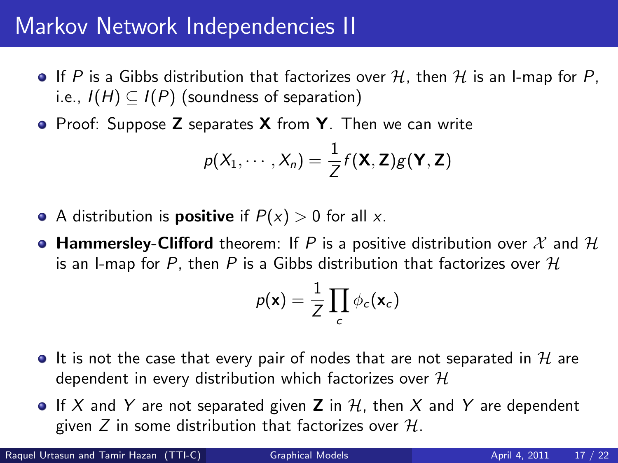# Markov Network Independencies II

- If P is a Gibbs distribution that factorizes over H, then H is an I-map for P, i.e.,  $I(H) \subseteq I(P)$  (soundness of separation)
- Proof: Suppose **Z** separates **X** from **Y**. Then we can write

$$
p(X_1,\cdots,X_n)=\frac{1}{Z}f(\mathbf{X},\mathbf{Z})g(\mathbf{Y},\mathbf{Z})
$$

- A distribution is **positive** if  $P(x) > 0$  for all x.
- **Hammersley-Clifford** theorem: If P is a positive distribution over X and H is an I-map for P, then P is a Gibbs distribution that factorizes over  $H$

$$
p(\mathbf{x}) = \frac{1}{Z} \prod_c \phi_c(\mathbf{x}_c)
$$

- It is not the case that every pair of nodes that are not separated in  $\mathcal H$  are dependent in every distribution which factorizes over  $H$
- If X and Y are not separated given **Z** in H, then X and Y are dependent given Z in some distribution that factorizes over  $H$ .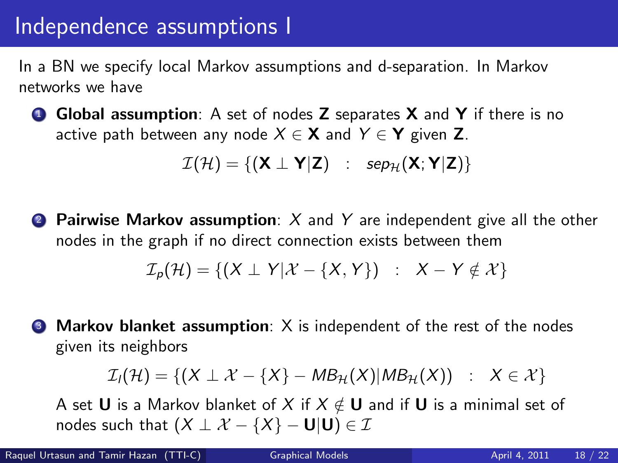In a BN we specify local Markov assumptions and d-separation. In Markov networks we have

**1** Global assumption: A set of nodes **Z** separates **X** and **Y** if there is no active path between any node  $X \in \mathbf{X}$  and  $Y \in \mathbf{Y}$  given Z.

$$
\mathcal{I}(\mathcal{H}) = \{ (\textbf{X} \perp \textbf{Y} | \textbf{Z}) \ : \ \textit{sep}_{\mathcal{H}}(\textbf{X};\textbf{Y} | \textbf{Z}) \}
$$

**2** Pairwise Markov assumption:  $X$  and  $Y$  are independent give all the other nodes in the graph if no direct connection exists between them

$$
\mathcal{I}_p(\mathcal{H}) = \{ (X \perp Y | X - \{X, Y\}) \ : \ X - Y \notin \mathcal{X} \}
$$

 $\bullet$  Markov blanket assumption: X is independent of the rest of the nodes given its neighbors

$$
\mathcal{I}_I(\mathcal{H}) = \{ (X \perp X - \{X\} - MB_{\mathcal{H}}(X)|MB_{\mathcal{H}}(X)) : X \in \mathcal{X} \}
$$

A set **U** is a Markov blanket of X if  $X \notin U$  and if U is a minimal set of nodes such that  $(X \perp X - \{X\} - U|U) \in \mathcal{I}$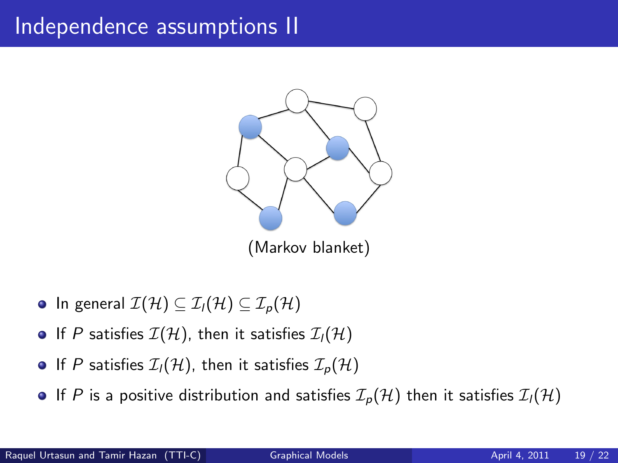# Independence assumptions II



- In general  $\mathcal{I}(\mathcal{H}) \subseteq \mathcal{I}_1(\mathcal{H}) \subseteq \mathcal{I}_p(\mathcal{H})$
- If P satisfies  $\mathcal{I}(\mathcal{H})$ , then it satisfies  $\mathcal{I}_1(\mathcal{H})$
- If P satisfies  $\mathcal{I}_l(\mathcal{H})$ , then it satisfies  $\mathcal{I}_p(\mathcal{H})$
- If P is a positive distribution and satisfies  $\mathcal{I}_p(\mathcal{H})$  then it satisfies  $\mathcal{I}_l(\mathcal{H})$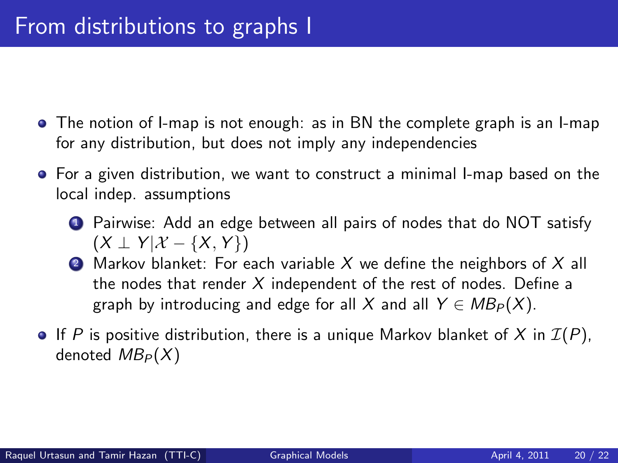- The notion of I-map is not enough: as in BN the complete graph is an I-map for any distribution, but does not imply any independencies
- **•** For a given distribution, we want to construct a minimal I-map based on the local indep. assumptions
	- **1** Pairwise: Add an edge between all pairs of nodes that do NOT satisfy  $(X \perp Y | X - \{X, Y\})$
	- 2 Markov blanket: For each variable X we define the neighbors of X all the nodes that render  $X$  independent of the rest of nodes. Define a graph by introducing and edge for all X and all  $Y \in MB_P(X)$ .
- If P is positive distribution, there is a unique Markov blanket of X in  $\mathcal{I}(P)$ , denoted  $MB_P(X)$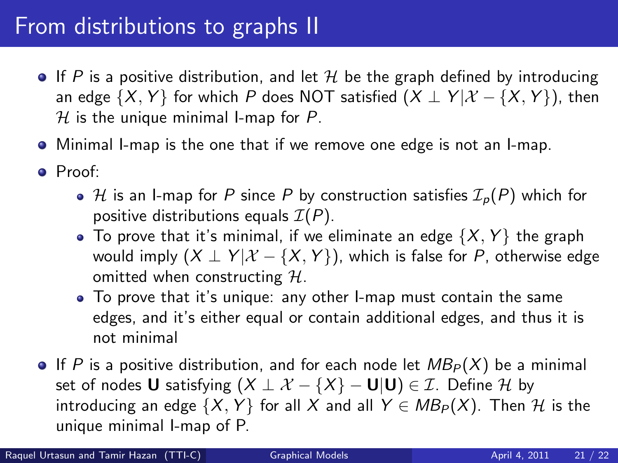# From distributions to graphs II

- If P is a positive distribution, and let H be the graph defined by introducing an edge  $\{X, Y\}$  for which P does NOT satisfied  $(X \perp Y | X - \{X, Y\})$ , then  $H$  is the unique minimal I-map for P.
- Minimal I-map is the one that if we remove one edge is not an I-map.
- Proof:
	- $\bullet$  H is an I-map for P since P by construction satisfies  $\mathcal{I}_p(P)$  which for positive distributions equals  $\mathcal{I}(P)$ .
	- To prove that it's minimal, if we eliminate an edge  $\{X, Y\}$  the graph would imply  $(X \perp Y | X - \{X, Y\})$ , which is false for P, otherwise edge omitted when constructing  $H$ .
	- To prove that it's unique: any other I-map must contain the same edges, and it's either equal or contain additional edges, and thus it is not minimal
- If P is a positive distribution, and for each node let  $MB_P(X)$  be a minimal set of nodes **U** satisfying  $(X \perp X - \{X\} - U|U) \in \mathcal{I}$ . Define H by introducing an edge  $\{X, Y\}$  for all X and all  $Y \in MB_P(X)$ . Then H is the unique minimal I-map of P.